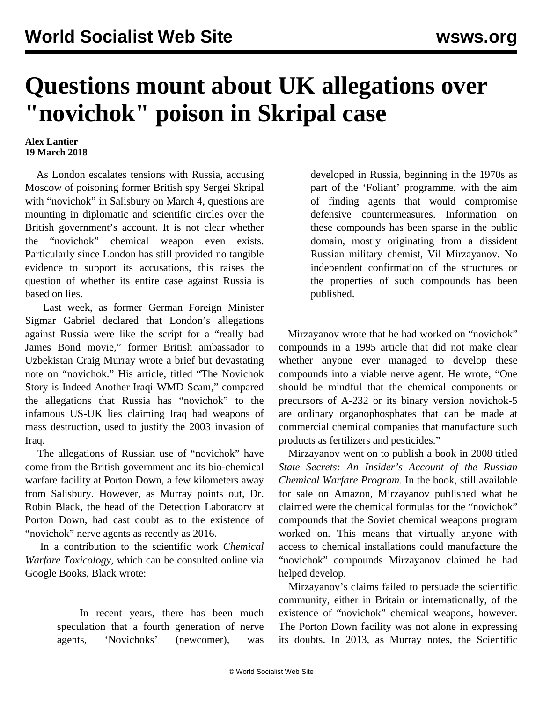## **Questions mount about UK allegations over "novichok" poison in Skripal case**

## **Alex Lantier 19 March 2018**

 As London escalates tensions with Russia, accusing Moscow of poisoning former British spy Sergei Skripal with "novichok" in Salisbury on March 4, questions are mounting in diplomatic and scientific circles over the British government's account. It is not clear whether the "novichok" chemical weapon even exists. Particularly since London has still provided no tangible evidence to support its accusations, this raises the question of whether its entire case against Russia is based on lies.

 Last week, as former German Foreign Minister Sigmar Gabriel declared that London's allegations against Russia were like the script for a "really bad James Bond movie," former British ambassador to Uzbekistan Craig Murray wrote a brief but devastating note on "novichok." His article, titled "The Novichok Story is Indeed Another Iraqi WMD Scam," compared the allegations that Russia has "novichok" to the infamous US-UK lies claiming Iraq had weapons of mass destruction, used to justify the 2003 invasion of Iraq.

 The allegations of Russian use of "novichok" have come from the British government and its bio-chemical warfare facility at Porton Down, a few kilometers away from Salisbury. However, as Murray points out, Dr. Robin Black, the head of the Detection Laboratory at Porton Down, had cast doubt as to the existence of "novichok" nerve agents as recently as 2016.

 In a contribution to the scientific work *Chemical Warfare Toxicology*, which can be consulted online via Google Books, Black wrote:

> In recent years, there has been much speculation that a fourth generation of nerve agents, 'Novichoks' (newcomer), was

developed in Russia, beginning in the 1970s as part of the 'Foliant' programme, with the aim of finding agents that would compromise defensive countermeasures. Information on these compounds has been sparse in the public domain, mostly originating from a dissident Russian military chemist, Vil Mirzayanov. No independent confirmation of the structures or the properties of such compounds has been published.

 Mirzayanov wrote that he had worked on "novichok" compounds in a 1995 article that did not make clear whether anyone ever managed to develop these compounds into a viable nerve agent. He wrote, "One should be mindful that the chemical components or precursors of A-232 or its binary version novichok-5 are ordinary organophosphates that can be made at commercial chemical companies that manufacture such products as fertilizers and pesticides."

 Mirzayanov went on to publish a book in 2008 titled *State Secrets: An Insider's Account of the Russian Chemical Warfare Program*. In the book, still available for sale on Amazon, Mirzayanov published what he claimed were the chemical formulas for the "novichok" compounds that the Soviet chemical weapons program worked on. This means that virtually anyone with access to chemical installations could manufacture the "novichok" compounds Mirzayanov claimed he had helped develop.

 Mirzayanov's claims failed to persuade the scientific community, either in Britain or internationally, of the existence of "novichok" chemical weapons, however. The Porton Down facility was not alone in expressing its doubts. In 2013, as Murray notes, the Scientific